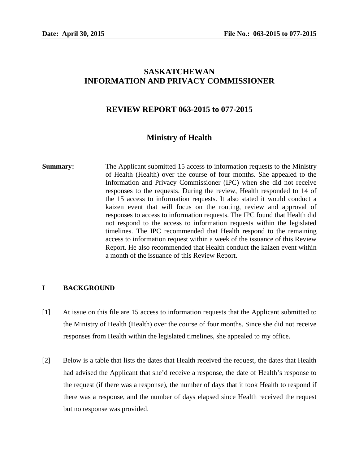# **SASKATCHEWAN INFORMATION AND PRIVACY COMMISSIONER**

## **REVIEW REPORT 063-2015 to 077-2015**

# **Ministry of Health**

**Summary:** The Applicant submitted 15 access to information requests to the Ministry of Health (Health) over the course of four months. She appealed to the Information and Privacy Commissioner (IPC) when she did not receive responses to the requests. During the review, Health responded to 14 of the 15 access to information requests. It also stated it would conduct a kaizen event that will focus on the routing, review and approval of responses to access to information requests. The IPC found that Health did not respond to the access to information requests within the legislated timelines. The IPC recommended that Health respond to the remaining access to information request within a week of the issuance of this Review Report. He also recommended that Health conduct the kaizen event within a month of the issuance of this Review Report.

#### **I BACKGROUND**

- [1] At issue on this file are 15 access to information requests that the Applicant submitted to the Ministry of Health (Health) over the course of four months. Since she did not receive responses from Health within the legislated timelines, she appealed to my office.
- [2] Below is a table that lists the dates that Health received the request, the dates that Health had advised the Applicant that she'd receive a response, the date of Health's response to the request (if there was a response), the number of days that it took Health to respond if there was a response, and the number of days elapsed since Health received the request but no response was provided.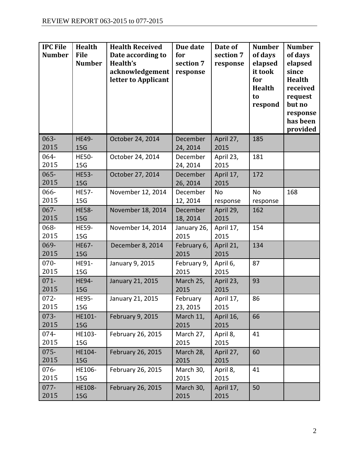| <b>IPC File</b><br><b>Number</b> | <b>Health</b><br><b>File</b><br><b>Number</b> | <b>Health Received</b><br>Date according to<br>Health's<br>acknowledgement<br>letter to Applicant | Due date<br>for<br>section 7<br>response | Date of<br>section 7<br>response | <b>Number</b><br>of days<br>elapsed<br>it took<br>for<br><b>Health</b><br>to<br>respond | <b>Number</b><br>of days<br>elapsed<br>since<br><b>Health</b><br>received<br>request<br>but no<br>response<br>has been<br>provided |
|----------------------------------|-----------------------------------------------|---------------------------------------------------------------------------------------------------|------------------------------------------|----------------------------------|-----------------------------------------------------------------------------------------|------------------------------------------------------------------------------------------------------------------------------------|
| $063 -$<br>2015                  | <b>HE49-</b><br>15G                           | October 24, 2014                                                                                  | December<br>24, 2014                     | April 27,<br>2015                | 185                                                                                     |                                                                                                                                    |
| 064-<br>2015                     | <b>HE50-</b><br>15G                           | October 24, 2014                                                                                  | December<br>24, 2014                     | April 23,<br>2015                | 181                                                                                     |                                                                                                                                    |
| $065 -$<br>2015                  | <b>HE53-</b><br>15G                           | October 27, 2014                                                                                  | December<br>26, 2014                     | April 17,<br>2015                | 172                                                                                     |                                                                                                                                    |
| 066-<br>2015                     | <b>HE57-</b><br>15G                           | November 12, 2014                                                                                 | December<br>12, 2014                     | No<br>response                   | <b>No</b><br>response                                                                   | 168                                                                                                                                |
| $067 -$<br>2015                  | <b>HE58-</b><br>15G                           | November 18, 2014                                                                                 | December<br>18, 2014                     | April 29,<br>2015                | 162                                                                                     |                                                                                                                                    |
| 068-<br>2015                     | <b>HE59-</b><br>15G                           | November 14, 2014                                                                                 | January 26,<br>2015                      | April 17,<br>2015                | 154                                                                                     |                                                                                                                                    |
| 069-<br>2015                     | <b>HE67-</b><br>15G                           | December 8, 2014                                                                                  | February 6,<br>2015                      | April 21,<br>2015                | 134                                                                                     |                                                                                                                                    |
| $070 -$<br>2015                  | HE91-<br>15G                                  | January 9, 2015                                                                                   | February 9,<br>2015                      | April 6,<br>2015                 | 87                                                                                      |                                                                                                                                    |
| $071 -$<br>2015                  | <b>HE94-</b><br>15G                           | January 21, 2015                                                                                  | March 25,<br>2015                        | April 23,<br>2015                | 93                                                                                      |                                                                                                                                    |
| $072 -$<br>2015                  | <b>HE95-</b><br>15G                           | January 21, 2015                                                                                  | February<br>23, 2015                     | April 17,<br>2015                | 86                                                                                      |                                                                                                                                    |
| $073 -$<br>2015                  | HE101-<br>15 <sub>G</sub>                     | February 9, 2015                                                                                  | March 11,<br>2015                        | April 16,<br>2015                | 66                                                                                      |                                                                                                                                    |
| 074-<br>2015                     | HE103-<br>15G                                 | February 26, 2015                                                                                 | March 27,<br>2015                        | April 8,<br>2015                 | 41                                                                                      |                                                                                                                                    |
| $075 -$<br>2015                  | HE104-<br>15G                                 | February 26, 2015                                                                                 | March 28,<br>2015                        | April 27,<br>2015                | 60                                                                                      |                                                                                                                                    |
| 076-<br>2015                     | HE106-<br>15G                                 | February 26, 2015                                                                                 | March 30,<br>2015                        | April 8,<br>2015                 | 41                                                                                      |                                                                                                                                    |
| $077 -$<br>2015                  | <b>HE108-</b><br>15 <sub>G</sub>              | February 26, 2015                                                                                 | March 30,<br>2015                        | April 17,<br>2015                | 50                                                                                      |                                                                                                                                    |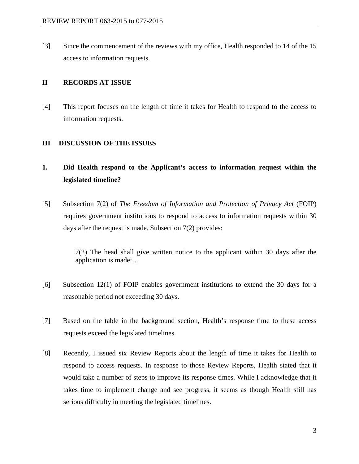[3] Since the commencement of the reviews with my office, Health responded to 14 of the 15 access to information requests.

#### **II RECORDS AT ISSUE**

[4] This report focuses on the length of time it takes for Health to respond to the access to information requests.

#### **III DISCUSSION OF THE ISSUES**

# **1. Did Health respond to the Applicant's access to information request within the legislated timeline?**

[5] Subsection 7(2) of *The Freedom of Information and Protection of Privacy Act* (FOIP) requires government institutions to respond to access to information requests within 30 days after the request is made. Subsection 7(2) provides:

> 7(2) The head shall give written notice to the applicant within 30 days after the application is made:…

- [6] Subsection 12(1) of FOIP enables government institutions to extend the 30 days for a reasonable period not exceeding 30 days.
- [7] Based on the table in the background section, Health's response time to these access requests exceed the legislated timelines.
- [8] Recently, I issued six Review Reports about the length of time it takes for Health to respond to access requests. In response to those Review Reports, Health stated that it would take a number of steps to improve its response times. While I acknowledge that it takes time to implement change and see progress, it seems as though Health still has serious difficulty in meeting the legislated timelines.